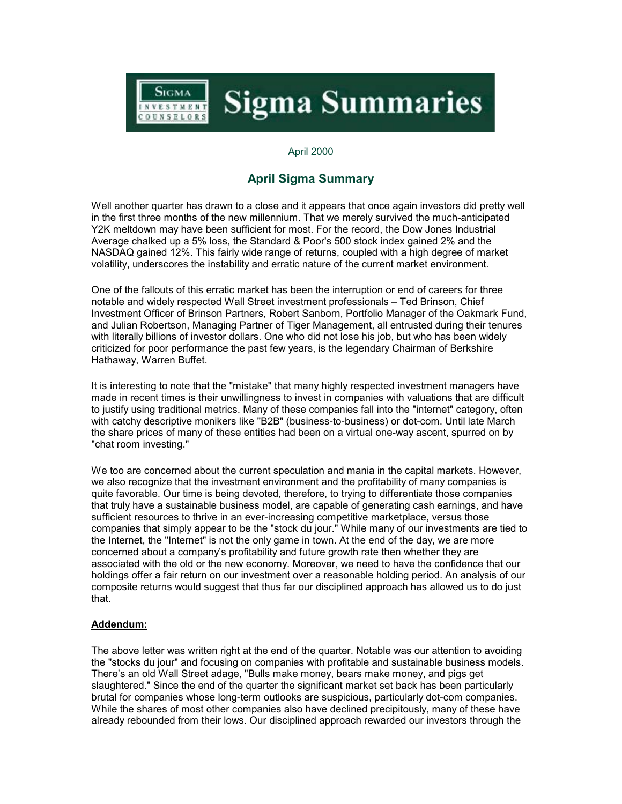

## April 2000

## **April Sigma Summary**

Well another quarter has drawn to a close and it appears that once again investors did pretty well in the first three months of the new millennium. That we merely survived the much-anticipated Y2K meltdown may have been sufficient for most. For the record, the Dow Jones Industrial Average chalked up a 5% loss, the Standard & Poor's 500 stock index gained 2% and the NASDAQ gained 12%. This fairly wide range of returns, coupled with a high degree of market volatility, underscores the instability and erratic nature of the current market environment.

One of the fallouts of this erratic market has been the interruption or end of careers for three notable and widely respected Wall Street investment professionals – Ted Brinson, Chief Investment Officer of Brinson Partners, Robert Sanborn, Portfolio Manager of the Oakmark Fund, and Julian Robertson, Managing Partner of Tiger Management, all entrusted during their tenures with literally billions of investor dollars. One who did not lose his job, but who has been widely criticized for poor performance the past few years, is the legendary Chairman of Berkshire Hathaway, Warren Buffet.

It is interesting to note that the "mistake" that many highly respected investment managers have made in recent times is their unwillingness to invest in companies with valuations that are difficult to justify using traditional metrics. Many of these companies fall into the "internet" category, often with catchy descriptive monikers like "B2B" (business-to-business) or dot-com. Until late March the share prices of many of these entities had been on a virtual one-way ascent, spurred on by "chat room investing."

We too are concerned about the current speculation and mania in the capital markets. However, we also recognize that the investment environment and the profitability of many companies is quite favorable. Our time is being devoted, therefore, to trying to differentiate those companies that truly have a sustainable business model, are capable of generating cash earnings, and have sufficient resources to thrive in an ever-increasing competitive marketplace, versus those companies that simply appear to be the "stock du jour." While many of our investments are tied to the Internet, the "Internet" is not the only game in town. At the end of the day, we are more concerned about a company's profitability and future growth rate then whether they are associated with the old or the new economy. Moreover, we need to have the confidence that our holdings offer a fair return on our investment over a reasonable holding period. An analysis of our composite returns would suggest that thus far our disciplined approach has allowed us to do just that.

## **Addendum:**

The above letter was written right at the end of the quarter. Notable was our attention to avoiding the "stocks du jour" and focusing on companies with profitable and sustainable business models. There's an old Wall Street adage, "Bulls make money, bears make money, and pigs get slaughtered." Since the end of the quarter the significant market set back has been particularly brutal for companies whose long-term outlooks are suspicious, particularly dot-com companies. While the shares of most other companies also have declined precipitously, many of these have already rebounded from their lows. Our disciplined approach rewarded our investors through the